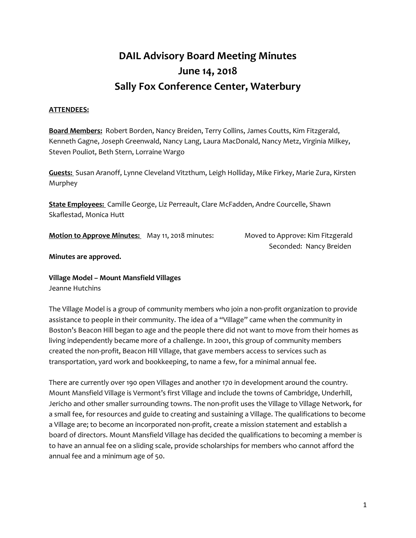# **DAIL Advisory Board Meeting Minutes June 14, 2018 Sally Fox Conference Center, Waterbury**

# **ATTENDEES:**

**Board Members:** Robert Borden, Nancy Breiden, Terry Collins, James Coutts, Kim Fitzgerald, Kenneth Gagne, Joseph Greenwald, Nancy Lang, Laura MacDonald, Nancy Metz, Virginia Milkey, Steven Pouliot, Beth Stern, Lorraine Wargo

**Guests:** Susan Aranoff, Lynne Cleveland Vitzthum, Leigh Holliday, Mike Firkey, Marie Zura, Kirsten Murphey

**State Employees:** Camille George, Liz Perreault, Clare McFadden, Andre Courcelle, Shawn Skaflestad, Monica Hutt

**Motion to Approve Minutes:** May 11, 2018 minutes: Moved to Approve: Kim Fitzgerald

Seconded: Nancy Breiden

**Minutes are approved.** 

**Village Model – Mount Mansfield Villages** Jeanne Hutchins

The Village Model is a group of community members who join a non-profit organization to provide assistance to people in their community. The idea of a "Village" came when the community in Boston's Beacon Hill began to age and the people there did not want to move from their homes as living independently became more of a challenge. In 2001, this group of community members created the non-profit, Beacon Hill Village, that gave members access to services such as transportation, yard work and bookkeeping, to name a few, for a minimal annual fee.

There are currently over 190 open Villages and another 170 in development around the country. Mount Mansfield Village is Vermont's first Village and include the towns of Cambridge, Underhill, Jericho and other smaller surrounding towns. The non-profit uses the Village to Village Network, for a small fee, for resources and guide to creating and sustaining a Village. The qualifications to become a Village are; to become an incorporated non-profit, create a mission statement and establish a board of directors. Mount Mansfield Village has decided the qualifications to becoming a member is to have an annual fee on a sliding scale, provide scholarships for members who cannot afford the annual fee and a minimum age of 50.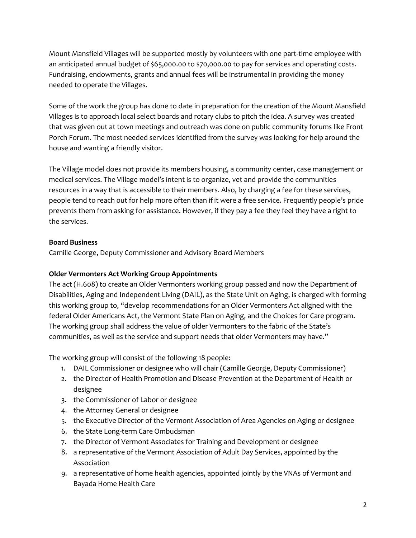Mount Mansfield Villages will be supported mostly by volunteers with one part-time employee with an anticipated annual budget of \$65,000.00 to \$70,000.00 to pay for services and operating costs. Fundraising, endowments, grants and annual fees will be instrumental in providing the money needed to operate the Villages.

Some of the work the group has done to date in preparation for the creation of the Mount Mansfield Villages is to approach local select boards and rotary clubs to pitch the idea. A survey was created that was given out at town meetings and outreach was done on public community forums like Front Porch Forum. The most needed services identified from the survey was looking for help around the house and wanting a friendly visitor.

The Village model does not provide its members housing, a community center, case management or medical services. The Village model's intent is to organize, vet and provide the communities resources in a way that is accessible to their members. Also, by charging a fee for these services, people tend to reach out for help more often than if it were a free service. Frequently people's pride prevents them from asking for assistance. However, if they pay a fee they feel they have a right to the services.

# **Board Business**

Camille George, Deputy Commissioner and Advisory Board Members

# **Older Vermonters Act Working Group Appointments**

The act (H.608) to create an Older Vermonters working group passed and now the Department of Disabilities, Aging and Independent Living (DAIL), as the State Unit on Aging, is charged with forming this working group to, "develop recommendations for an Older Vermonters Act aligned with the federal Older Americans Act, the Vermont State Plan on Aging, and the Choices for Care program. The working group shall address the value of older Vermonters to the fabric of the State's communities, as well as the service and support needs that older Vermonters may have."

The working group will consist of the following 18 people:

- 1. DAIL Commissioner or designee who will chair (Camille George, Deputy Commissioner)
- 2. the Director of Health Promotion and Disease Prevention at the Department of Health or designee
- 3. the Commissioner of Labor or designee
- 4. the Attorney General or designee
- 5. the Executive Director of the Vermont Association of Area Agencies on Aging or designee
- 6. the State Long-term Care Ombudsman
- 7. the Director of Vermont Associates for Training and Development or designee
- 8. a representative of the Vermont Association of Adult Day Services, appointed by the Association
- 9. a representative of home health agencies, appointed jointly by the VNAs of Vermont and Bayada Home Health Care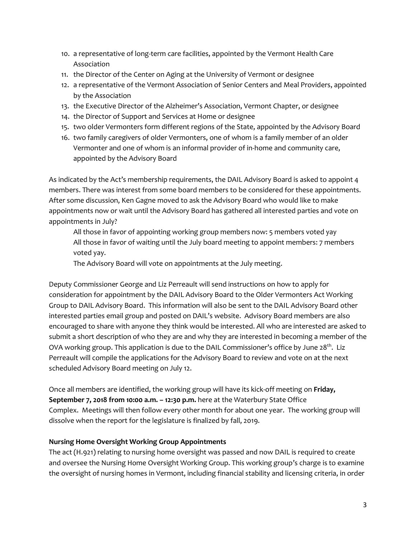- 10. a representative of long-term care facilities, appointed by the Vermont Health Care Association
- 11. the Director of the Center on Aging at the University of Vermont or designee
- 12. a representative of the Vermont Association of Senior Centers and Meal Providers, appointed by the Association
- 13. the Executive Director of the Alzheimer's Association, Vermont Chapter, or designee
- 14. the Director of Support and Services at Home or designee
- 15. two older Vermonters form different regions of the State, appointed by the Advisory Board
- 16. two family caregivers of older Vermonters, one of whom is a family member of an older Vermonter and one of whom is an informal provider of in-home and community care, appointed by the Advisory Board

As indicated by the Act's membership requirements, the DAIL Advisory Board is asked to appoint 4 members. There was interest from some board members to be considered for these appointments. After some discussion, Ken Gagne moved to ask the Advisory Board who would like to make appointments now or wait until the Advisory Board has gathered all interested parties and vote on appointments in July?

All those in favor of appointing working group members now: 5 members voted yay All those in favor of waiting until the July board meeting to appoint members: 7 members voted yay.

The Advisory Board will vote on appointments at the July meeting.

Deputy Commissioner George and Liz Perreault will send instructions on how to apply for consideration for appointment by the DAIL Advisory Board to the Older Vermonters Act Working Group to DAIL Advisory Board. This information will also be sent to the DAIL Advisory Board other interested parties email group and posted on DAIL's website. Advisory Board members are also encouraged to share with anyone they think would be interested. All who are interested are asked to submit a short description of who they are and why they are interested in becoming a member of the OVA working group. This application is due to the DAIL Commissioner's office by June 28<sup>th</sup>. Liz Perreault will compile the applications for the Advisory Board to review and vote on at the next scheduled Advisory Board meeting on July 12.

Once all members are identified, the working group will have its kick-off meeting on **Friday, September 7, 2018 from 10:00 a.m. – 12:30 p.m.** here at the Waterbury State Office Complex. Meetings will then follow every other month for about one year. The working group will dissolve when the report for the legislature is finalized by fall, 2019.

# **Nursing Home Oversight Working Group Appointments**

The act (H.921) relating to nursing home oversight was passed and now DAIL is required to create and oversee the Nursing Home Oversight Working Group. This working group's charge is to examine the oversight of nursing homes in Vermont, including financial stability and licensing criteria, in order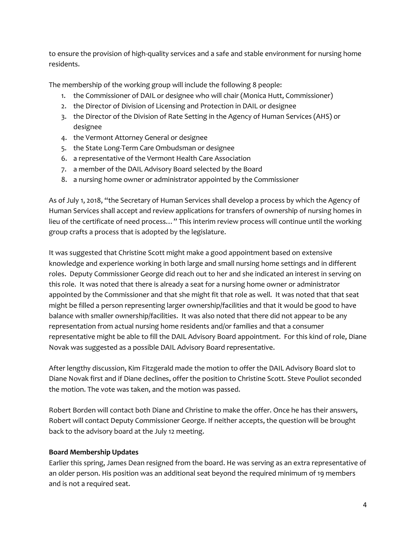to ensure the provision of high-quality services and a safe and stable environment for nursing home residents.

The membership of the working group will include the following 8 people:

- 1. the Commissioner of DAIL or designee who will chair (Monica Hutt, Commissioner)
- 2. the Director of Division of Licensing and Protection in DAIL or designee
- 3. the Director of the Division of Rate Setting in the Agency of Human Services (AHS) or designee
- 4. the Vermont Attorney General or designee
- 5. the State Long-Term Care Ombudsman or designee
- 6. a representative of the Vermont Health Care Association
- 7. a member of the DAIL Advisory Board selected by the Board
- 8. a nursing home owner or administrator appointed by the Commissioner

As of July 1, 2018, "the Secretary of Human Services shall develop a process by which the Agency of Human Services shall accept and review applications for transfers of ownership of nursing homes in lieu of the certificate of need process…" This interim review process will continue until the working group crafts a process that is adopted by the legislature.

It was suggested that Christine Scott might make a good appointment based on extensive knowledge and experience working in both large and small nursing home settings and in different roles. Deputy Commissioner George did reach out to her and she indicated an interest in serving on this role. It was noted that there is already a seat for a nursing home owner or administrator appointed by the Commissioner and that she might fit that role as well. It was noted that that seat might be filled a person representing larger ownership/facilities and that it would be good to have balance with smaller ownership/facilities. It was also noted that there did not appear to be any representation from actual nursing home residents and/or families and that a consumer representative might be able to fill the DAIL Advisory Board appointment. For this kind of role, Diane Novak was suggested as a possible DAIL Advisory Board representative.

After lengthy discussion, Kim Fitzgerald made the motion to offer the DAIL Advisory Board slot to Diane Novak first and if Diane declines, offer the position to Christine Scott. Steve Pouliot seconded the motion. The vote was taken, and the motion was passed.

Robert Borden will contact both Diane and Christine to make the offer. Once he has their answers, Robert will contact Deputy Commissioner George. If neither accepts, the question will be brought back to the advisory board at the July 12 meeting.

#### **Board Membership Updates**

Earlier this spring, James Dean resigned from the board. He was serving as an extra representative of an older person. His position was an additional seat beyond the required minimum of 19 members and is not a required seat.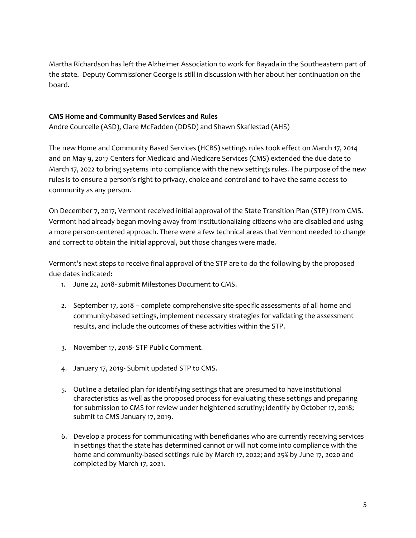Martha Richardson has left the Alzheimer Association to work for Bayada in the Southeastern part of the state. Deputy Commissioner George is still in discussion with her about her continuation on the board.

#### **CMS Home and Community Based Services and Rules**

Andre Courcelle (ASD), Clare McFadden (DDSD) and Shawn Skaflestad (AHS)

The new Home and Community Based Services (HCBS) settings rules took effect on March 17, 2014 and on May 9, 2017 Centers for Medicaid and Medicare Services (CMS) extended the due date to March 17, 2022 to bring systems into compliance with the new settings rules. The purpose of the new rules is to ensure a person's right to privacy, choice and control and to have the same access to community as any person.

On December 7, 2017, Vermont received initial approval of the State Transition Plan (STP) from CMS. Vermont had already began moving away from institutionalizing citizens who are disabled and using a more person-centered approach. There were a few technical areas that Vermont needed to change and correct to obtain the initial approval, but those changes were made.

Vermont's next steps to receive final approval of the STP are to do the following by the proposed due dates indicated:

- 1. June 22, 2018- submit Milestones Document to CMS.
- 2. September 17, 2018 complete comprehensive site-specific assessments of all home and community-based settings, implement necessary strategies for validating the assessment results, and include the outcomes of these activities within the STP.
- 3. November 17, 2018- STP Public Comment.
- 4. January 17, 2019- Submit updated STP to CMS.
- 5. Outline a detailed plan for identifying settings that are presumed to have institutional characteristics as well as the proposed process for evaluating these settings and preparing for submission to CMS for review under heightened scrutiny; identify by October 17, 2018; submit to CMS January 17, 2019.
- 6. Develop a process for communicating with beneficiaries who are currently receiving services in settings that the state has determined cannot or will not come into compliance with the home and community-based settings rule by March 17, 2022; and 25% by June 17, 2020 and completed by March 17, 2021.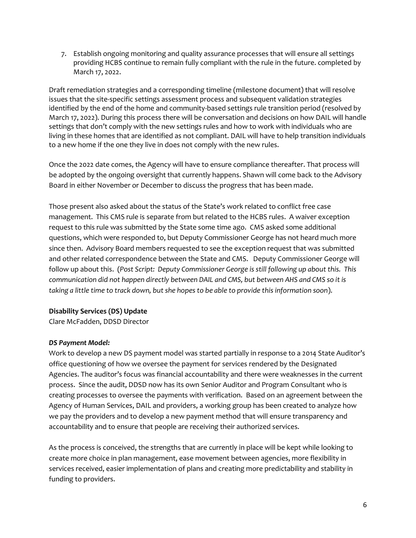7. Establish ongoing monitoring and quality assurance processes that will ensure all settings providing HCBS continue to remain fully compliant with the rule in the future. completed by March 17, 2022.

Draft remediation strategies and a corresponding timeline (milestone document) that will resolve issues that the site-specific settings assessment process and subsequent validation strategies identified by the end of the home and community-based settings rule transition period (resolved by March 17, 2022). During this process there will be conversation and decisions on how DAIL will handle settings that don't comply with the new settings rules and how to work with individuals who are living in these homes that are identified as not compliant. DAIL will have to help transition individuals to a new home if the one they live in does not comply with the new rules.

Once the 2022 date comes, the Agency will have to ensure compliance thereafter. That process will be adopted by the ongoing oversight that currently happens. Shawn will come back to the Advisory Board in either November or December to discuss the progress that has been made.

Those present also asked about the status of the State's work related to conflict free case management. This CMS rule is separate from but related to the HCBS rules. A waiver exception request to this rule was submitted by the State some time ago. CMS asked some additional questions, which were responded to, but Deputy Commissioner George has not heard much more since then. Advisory Board members requested to see the exception request that was submitted and other related correspondence between the State and CMS. Deputy Commissioner George will follow up about this. (*Post Script: Deputy Commissioner George is still following up about this. This communication did not happen directly between DAIL and CMS, but between AHS and CMS so it is taking a little time to track down, but she hopes to be able to provide this information soon*).

#### **Disability Services (DS) Update**

Clare McFadden, DDSD Director

#### *DS Payment Model:*

Work to develop a new DS payment model was started partially in response to a 2014 State Auditor's office questioning of how we oversee the payment for services rendered by the Designated Agencies. The auditor's focus was financial accountability and there were weaknesses in the current process. Since the audit, DDSD now has its own Senior Auditor and Program Consultant who is creating processes to oversee the payments with verification. Based on an agreement between the Agency of Human Services, DAIL and providers, a working group has been created to analyze how we pay the providers and to develop a new payment method that will ensure transparency and accountability and to ensure that people are receiving their authorized services.

As the process is conceived, the strengths that are currently in place will be kept while looking to create more choice in plan management, ease movement between agencies, more flexibility in services received, easier implementation of plans and creating more predictability and stability in funding to providers.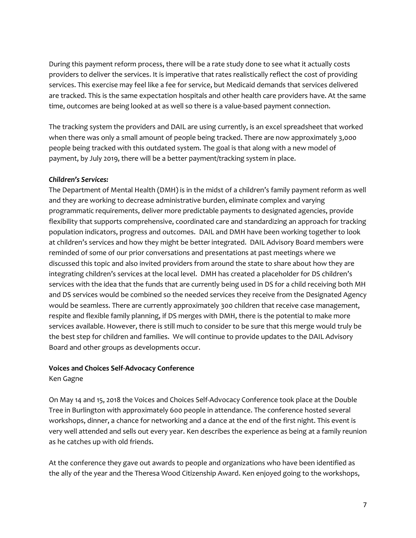During this payment reform process, there will be a rate study done to see what it actually costs providers to deliver the services. It is imperative that rates realistically reflect the cost of providing services. This exercise may feel like a fee for service, but Medicaid demands that services delivered are tracked. This is the same expectation hospitals and other health care providers have. At the same time, outcomes are being looked at as well so there is a value-based payment connection.

The tracking system the providers and DAIL are using currently, is an excel spreadsheet that worked when there was only a small amount of people being tracked. There are now approximately 3,000 people being tracked with this outdated system. The goal is that along with a new model of payment, by July 2019, there will be a better payment/tracking system in place.

#### *Children's Services:*

The Department of Mental Health (DMH) is in the midst of a children's family payment reform as well and they are working to decrease administrative burden, eliminate complex and varying programmatic requirements, deliver more predictable payments to designated agencies, provide flexibility that supports comprehensive, coordinated care and standardizing an approach for tracking population indicators, progress and outcomes. DAIL and DMH have been working together to look at children's services and how they might be better integrated. DAIL Advisory Board members were reminded of some of our prior conversations and presentations at past meetings where we discussed this topic and also invited providers from around the state to share about how they are integrating children's services at the local level. DMH has created a placeholder for DS children's services with the idea that the funds that are currently being used in DS for a child receiving both MH and DS services would be combined so the needed services they receive from the Designated Agency would be seamless. There are currently approximately 300 children that receive case management, respite and flexible family planning, if DS merges with DMH, there is the potential to make more services available. However, there is still much to consider to be sure that this merge would truly be the best step for children and families. We will continue to provide updates to the DAIL Advisory Board and other groups as developments occur.

# **Voices and Choices Self-Advocacy Conference**

Ken Gagne

On May 14 and 15, 2018 the Voices and Choices Self-Advocacy Conference took place at the Double Tree in Burlington with approximately 600 people in attendance. The conference hosted several workshops, dinner, a chance for networking and a dance at the end of the first night. This event is very well attended and sells out every year. Ken describes the experience as being at a family reunion as he catches up with old friends.

At the conference they gave out awards to people and organizations who have been identified as the ally of the year and the Theresa Wood Citizenship Award. Ken enjoyed going to the workshops,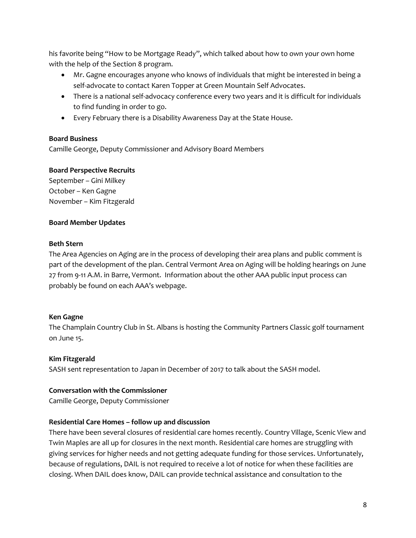his favorite being "How to be Mortgage Ready", which talked about how to own your own home with the help of the Section 8 program.

- Mr. Gagne encourages anyone who knows of individuals that might be interested in being a self-advocate to contact Karen Topper at Green Mountain Self Advocates.
- There is a national self-advocacy conference every two years and it is difficult for individuals to find funding in order to go.
- Every February there is a Disability Awareness Day at the State House.

# **Board Business**

Camille George, Deputy Commissioner and Advisory Board Members

# **Board Perspective Recruits**

September – Gini Milkey October – Ken Gagne November – Kim Fitzgerald

# **Board Member Updates**

#### **Beth Stern**

The Area Agencies on Aging are in the process of developing their area plans and public comment is part of the development of the plan. Central Vermont Area on Aging will be holding hearings on June 27 from 9-11 A.M. in Barre, Vermont. Information about the other AAA public input process can probably be found on each AAA's webpage.

#### **Ken Gagne**

The Champlain Country Club in St. Albans is hosting the Community Partners Classic golf tournament on June 15.

# **Kim Fitzgerald**

SASH sent representation to Japan in December of 2017 to talk about the SASH model.

#### **Conversation with the Commissioner**

Camille George, Deputy Commissioner

# **Residential Care Homes – follow up and discussion**

There have been several closures of residential care homes recently. Country Village, Scenic View and Twin Maples are all up for closures in the next month. Residential care homes are struggling with giving services for higher needs and not getting adequate funding for those services. Unfortunately, because of regulations, DAIL is not required to receive a lot of notice for when these facilities are closing. When DAIL does know, DAIL can provide technical assistance and consultation to the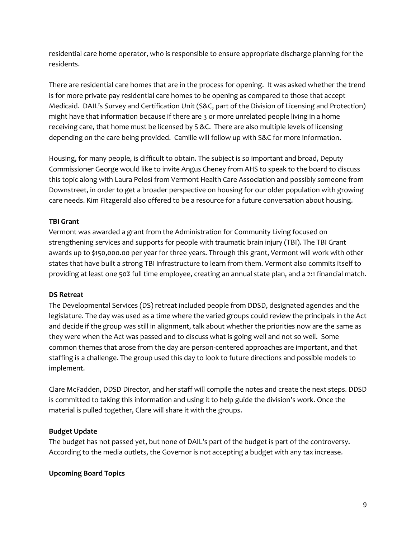residential care home operator, who is responsible to ensure appropriate discharge planning for the residents.

There are residential care homes that are in the process for opening. It was asked whether the trend is for more private pay residential care homes to be opening as compared to those that accept Medicaid. DAIL's Survey and Certification Unit (S&C, part of the Division of Licensing and Protection) might have that information because if there are 3 or more unrelated people living in a home receiving care, that home must be licensed by S &C. There are also multiple levels of licensing depending on the care being provided. Camille will follow up with S&C for more information.

Housing, for many people, is difficult to obtain. The subject is so important and broad, Deputy Commissioner George would like to invite Angus Cheney from AHS to speak to the board to discuss this topic along with Laura Pelosi from Vermont Health Care Association and possibly someone from Downstreet, in order to get a broader perspective on housing for our older population with growing care needs. Kim Fitzgerald also offered to be a resource for a future conversation about housing.

# **TBI Grant**

Vermont was awarded a grant from the Administration for Community Living focused on strengthening services and supports for people with traumatic brain injury (TBI). The TBI Grant awards up to \$150,000.00 per year for three years. Through this grant, Vermont will work with other states that have built a strong TBI infrastructure to learn from them. Vermont also commits itself to providing at least one 50% full time employee, creating an annual state plan, and a 2:1 financial match.

# **DS Retreat**

The Developmental Services (DS) retreat included people from DDSD, designated agencies and the legislature. The day was used as a time where the varied groups could review the principals in the Act and decide if the group was still in alignment, talk about whether the priorities now are the same as they were when the Act was passed and to discuss what is going well and not so well. Some common themes that arose from the day are person-centered approaches are important, and that staffing is a challenge. The group used this day to look to future directions and possible models to implement.

Clare McFadden, DDSD Director, and her staff will compile the notes and create the next steps. DDSD is committed to taking this information and using it to help guide the division's work. Once the material is pulled together, Clare will share it with the groups.

# **Budget Update**

The budget has not passed yet, but none of DAIL's part of the budget is part of the controversy. According to the media outlets, the Governor is not accepting a budget with any tax increase.

#### **Upcoming Board Topics**